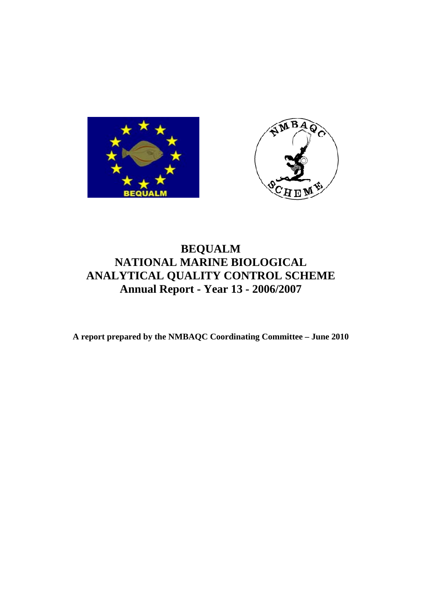



# **BEQUALM NATIONAL MARINE BIOLOGICAL ANALYTICAL QUALITY CONTROL SCHEME Annual Report - Year 13 - 2006/2007**

**A report prepared by the NMBAQC Coordinating Committee – June 2010**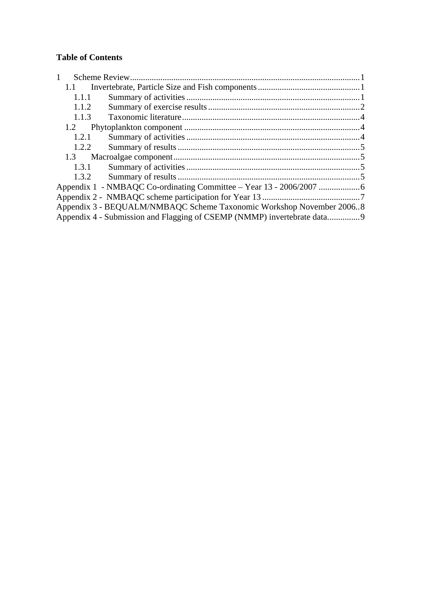## **Table of Contents**

| $\mathbf{1}$ |                                                                         |  |
|--------------|-------------------------------------------------------------------------|--|
| 1.1          |                                                                         |  |
| 1.1.1        |                                                                         |  |
| 1.1.2        |                                                                         |  |
| 1.1.3        |                                                                         |  |
| 1.2          |                                                                         |  |
| 1.2.1        |                                                                         |  |
| 1.2.2        |                                                                         |  |
| 1.3          |                                                                         |  |
| 1.3.1        |                                                                         |  |
| 1.3.2        |                                                                         |  |
|              |                                                                         |  |
|              |                                                                         |  |
|              | Appendix 3 - BEQUALM/NMBAQC Scheme Taxonomic Workshop November 20068    |  |
|              | Appendix 4 - Submission and Flagging of CSEMP (NMMP) invertebrate data9 |  |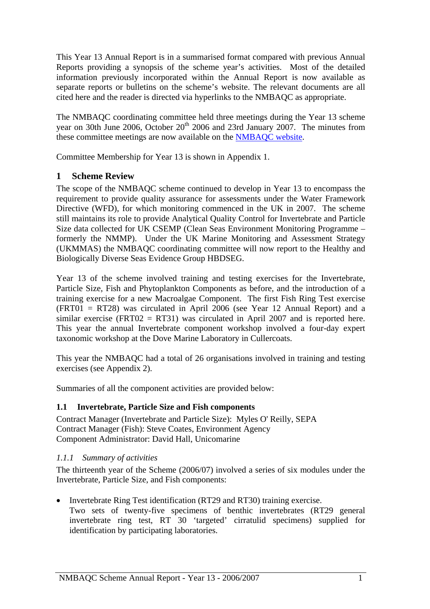<span id="page-2-0"></span>This Year 13 Annual Report is in a summarised format compared with previous Annual Reports providing a synopsis of the scheme year's activities. Most of the detailed information previously incorporated within the Annual Report is now available as separate reports or bulletins on the scheme's website. The relevant documents are all cited here and the reader is directed via hyperlinks to the NMBAQC as appropriate.

The NMBAQC coordinating committee held three meetings during the Year 13 scheme year on 30th June 2006, October 20<sup>th</sup> 2006 and 23rd January 2007. The minutes from these committee meetings are now available on the [NMBAQC website](http://www.nmbaqcs.org/reports.aspx).

Committee Membership for Year 13 is shown in Appendix 1.

## **1 Scheme Review**

The scope of the NMBAQC scheme continued to develop in Year 13 to encompass the requirement to provide quality assurance for assessments under the Water Framework Directive (WFD), for which monitoring commenced in the UK in 2007. The scheme still maintains its role to provide Analytical Quality Control for Invertebrate and Particle Size data collected for UK CSEMP (Clean Seas Environment Monitoring Programme – formerly the NMMP). Under the UK Marine Monitoring and Assessment Strategy (UKMMAS) the NMBAQC coordinating committee will now report to the Healthy and Biologically Diverse Seas Evidence Group HBDSEG.

Year 13 of the scheme involved training and testing exercises for the Invertebrate, Particle Size, Fish and Phytoplankton Components as before, and the introduction of a training exercise for a new Macroalgae Component. The first Fish Ring Test exercise (FRT01 = RT28) was circulated in April 2006 (see Year 12 Annual Report) and a similar exercise (FRT02 = RT31) was circulated in April 2007 and is reported here. This year the annual Invertebrate component workshop involved a four-day expert taxonomic workshop at the Dove Marine Laboratory in Cullercoats.

This year the NMBAQC had a total of 26 organisations involved in training and testing exercises (see Appendix 2).

Summaries of all the component activities are provided below:

## **1.1 Invertebrate, Particle Size and Fish components**

Contract Manager (Invertebrate and Particle Size): Myles O' Reilly, SEPA Contract Manager (Fish): Steve Coates, Environment Agency Component Administrator: David Hall, Unicomarine

## *1.1.1 Summary of activities*

The thirteenth year of the Scheme (2006/07) involved a series of six modules under the Invertebrate, Particle Size, and Fish components:

• Invertebrate Ring Test identification (RT29 and RT30) training exercise. Two sets of twenty-five specimens of benthic invertebrates (RT29 general invertebrate ring test, RT 30 'targeted' cirratulid specimens) supplied for identification by participating laboratories.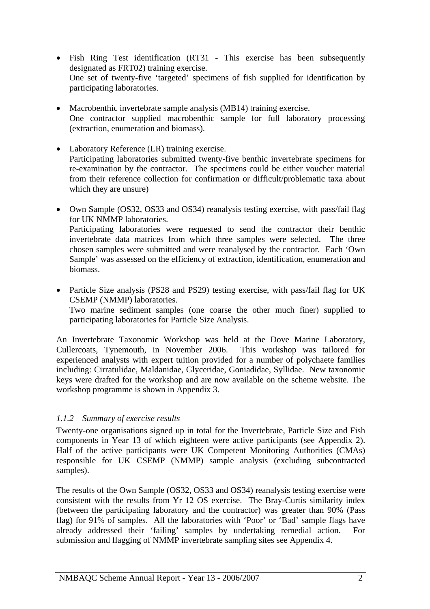- <span id="page-3-0"></span>• Fish Ring Test identification (RT31 - This exercise has been subsequently designated as FRT02) training exercise. One set of twenty-five 'targeted' specimens of fish supplied for identification by participating laboratories.
- Macrobenthic invertebrate sample analysis (MB14) training exercise. One contractor supplied macrobenthic sample for full laboratory processing (extraction, enumeration and biomass).
- Laboratory Reference (LR) training exercise. Participating laboratories submitted twenty-five benthic invertebrate specimens for re-examination by the contractor. The specimens could be either voucher material from their reference collection for confirmation or difficult/problematic taxa about which they are unsure)
- Own Sample (OS32, OS33 and OS34) reanalysis testing exercise, with pass/fail flag for UK NMMP laboratories. Participating laboratories were requested to send the contractor their benthic invertebrate data matrices from which three samples were selected. The three chosen samples were submitted and were reanalysed by the contractor. Each 'Own Sample' was assessed on the efficiency of extraction, identification, enumeration and biomass.
- Particle Size analysis (PS28 and PS29) testing exercise, with pass/fail flag for UK CSEMP (NMMP) laboratories.

Two marine sediment samples (one coarse the other much finer) supplied to participating laboratories for Particle Size Analysis.

An Invertebrate Taxonomic Workshop was held at the Dove Marine Laboratory, Cullercoats, Tynemouth, in November 2006. This workshop was tailored for experienced analysts with expert tuition provided for a number of polychaete families including: Cirratulidae, Maldanidae, Glyceridae, Goniadidae, Syllidae. New taxonomic keys were drafted for the workshop and are now available on the scheme website. The workshop programme is shown in Appendix 3.

#### *1.1.2 Summary of exercise results*

Twenty-one organisations signed up in total for the Invertebrate, Particle Size and Fish components in Year 13 of which eighteen were active participants (see Appendix 2). Half of the active participants were UK Competent Monitoring Authorities (CMAs) responsible for UK CSEMP (NMMP) sample analysis (excluding subcontracted samples).

The results of the Own Sample (OS32, OS33 and OS34) reanalysis testing exercise were consistent with the results from Yr 12 OS exercise. The Bray-Curtis similarity index (between the participating laboratory and the contractor) was greater than 90% (Pass flag) for 91% of samples. All the laboratories with 'Poor' or 'Bad' sample flags have already addressed their 'failing' samples by undertaking remedial action. For submission and flagging of NMMP invertebrate sampling sites see Appendix 4.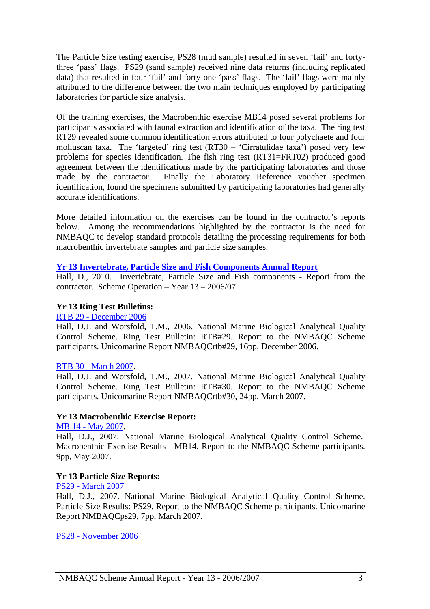The Particle Size testing exercise, PS28 (mud sample) resulted in seven 'fail' and fortythree 'pass' flags. PS29 (sand sample) received nine data returns (including replicated data) that resulted in four 'fail' and forty-one 'pass' flags. The 'fail' flags were mainly attributed to the difference between the two main techniques employed by participating laboratories for particle size analysis.

Of the training exercises, the Macrobenthic exercise MB14 posed several problems for participants associated with faunal extraction and identification of the taxa. The ring test RT29 revealed some common identification errors attributed to four polychaete and four molluscan taxa. The 'targeted' ring test (RT30 – 'Cirratulidae taxa') posed very few problems for species identification. The fish ring test (RT31=FRT02) produced good agreement between the identifications made by the participating laboratories and those made by the contractor. Finally the Laboratory Reference voucher specimen identification, found the specimens submitted by participating laboratories had generally accurate identifications.

More detailed information on the exercises can be found in the contractor's reports below. Among the recommendations highlighted by the contractor is the need for NMBAQC to develop standard protocols detailing the processing requirements for both macrobenthic invertebrate samples and particle size samples.

#### **[Yr 13 Invertebrate, Particle Size and Fish Components Annual Report](http://www.nmbaqcs.org/media/9325/nmbaqcs_yr13_annrep0607.pdf)**

Hall, D., 2010. Invertebrate, Particle Size and Fish components - Report from the contractor. Scheme Operation – Year 13 – 2006/07.

#### **Yr 13 Ring Test Bulletins:**

## [RTB 29 - December 2006](http://www.nmbaqcs.org/scheme-components/invertebrates/reports/rtb-29.aspx)

Hall, D.J. and Worsfold, T.M., 2006. National Marine Biological Analytical Quality Control Scheme. Ring Test Bulletin: RTB#29. Report to the NMBAQC Scheme participants. Unicomarine Report NMBAQCrtb#29, 16pp, December 2006.

#### [RTB 30 - March 2007.](http://www.nmbaqcs.org/scheme-components/invertebrates/reports/rtb-30.aspx)

Hall, D.J. and Worsfold, T.M., 2007. National Marine Biological Analytical Quality Control Scheme. Ring Test Bulletin: RTB#30. Report to the NMBAQC Scheme participants. Unicomarine Report NMBAQCrtb#30, 24pp, March 2007.

#### **Yr 13 Macrobenthic Exercise Report:**

#### [MB 14 - May 2007.](http://www.nmbaqcs.org/scheme-components/invertebrates/reports/mb-14.aspx)

Hall, D.J., 2007. National Marine Biological Analytical Quality Control Scheme. Macrobenthic Exercise Results - MB14. Report to the NMBAQC Scheme participants. 9pp, May 2007.

#### **Yr 13 Particle Size Reports:**

#### [PS29 - March 2007](http://www.nmbaqcs.org/scheme-components/particle-size-analysis/reports/ps29.aspx)

Hall, D.J., 2007. National Marine Biological Analytical Quality Control Scheme. Particle Size Results: PS29. Report to the NMBAQC Scheme participants. Unicomarine Report NMBAQCps29, 7pp, March 2007.

[PS28 - November 2006](http://www.nmbaqcs.org/scheme-components/particle-size-analysis/reports/ps28.aspx)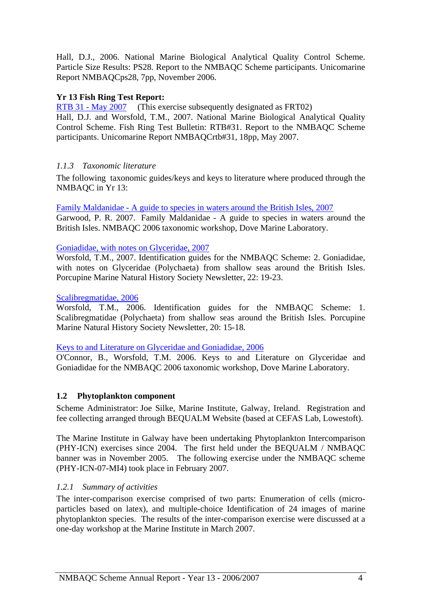<span id="page-5-0"></span>Hall, D.J., 2006. National Marine Biological Analytical Quality Control Scheme. Particle Size Results: PS28. Report to the NMBAQC Scheme participants. Unicomarine Report NMBAQCps28, 7pp, November 2006.

## **Yr 13 Fish Ring Test Report:**

[RTB 31 - May 2007](http://www.nmbaqcs.org/scheme-components/fish/reports/rtb-31.aspx) (This exercise subsequently designated as FRT02)

Hall, D.J. and Worsfold, T.M., 2007. National Marine Biological Analytical Quality Control Scheme. Fish Ring Test Bulletin: RTB#31. Report to the NMBAQC Scheme participants. Unicomarine Report NMBAQCrtb#31, 18pp, May 2007.

## *1.1.3 Taxonomic literature*

The following taxonomic guides/keys and keys to literature where produced through the NMBAQC in Yr 13:

[Family Maldanidae - A guide to species in waters around the British Isles, 2007](http://www.nmbaqcs.org/downloads/keys/Maldanidae_PRGarwood_March2007.pdf)

Garwood, P. R. 2007. Family Maldanidae - A guide to species in waters around the British Isles. NMBAQC 2006 taxonomic workshop, Dove Marine Laboratory.

#### [Goniadidae, with notes on Glyceridae, 2007](http://www.nmbaqcs.org/downloads/keys/Goniadidae_June07.pdf)

Worsfold, T.M., 2007. Identification guides for the NMBAQC Scheme: 2. Goniadidae, with notes on Glyceridae (Polychaeta) from shallow seas around the British Isles. Porcupine Marine Natural History Society Newsletter, 22: 19-23.

#### [Scalibregmatidae, 2006](http://www.nmbaqcs.org/downloads/keys/Scalibregmatidae_May06.pdf)

Worsfold, T.M., 2006. Identification guides for the NMBAQC Scheme: 1. Scalibregmatidae (Polychaeta) from shallow seas around the British Isles. Porcupine Marine Natural History Society Newsletter, 20: 15-18.

#### [Keys to and Literature on Glyceridae and Goniadidae, 2006](http://www.nmbaqcs.org/downloads/keys/GlyceridaeGoniadidae.pdf)

O'Connor, B., Worsfold, T.M. 2006. Keys to and Literature on Glyceridae and Goniadidae for the NMBAQC 2006 taxonomic workshop, Dove Marine Laboratory.

#### **1.2 Phytoplankton component**

Scheme Administrator: Joe Silke, Marine Institute, Galway, Ireland. Registration and fee collecting arranged through BEQUALM Website (based at CEFAS Lab, Lowestoft).

The Marine Institute in Galway have been undertaking Phytoplankton Intercomparison (PHY-ICN) exercises since 2004. The first held under the BEQUALM / NMBAQC banner was in November 2005. The following exercise under the NMBAQC scheme (PHY-ICN-07-MI4) took place in February 2007.

#### *1.2.1 Summary of activities*

The inter-comparison exercise comprised of two parts: Enumeration of cells (microparticles based on latex), and multiple-choice Identification of 24 images of marine phytoplankton species. The results of the inter-comparison exercise were discussed at a one-day workshop at the Marine Institute in March 2007.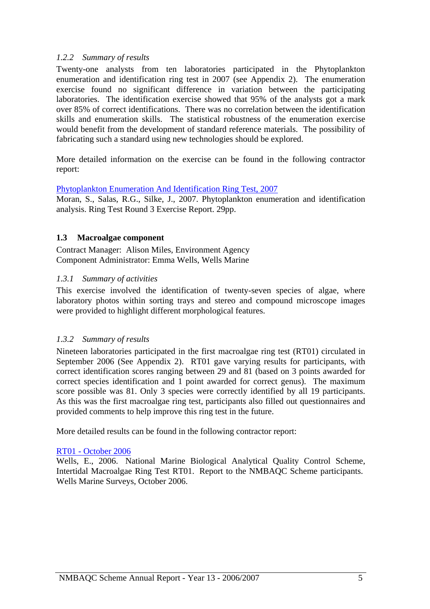### <span id="page-6-0"></span>*1.2.2 Summary of results*

Twenty-one analysts from ten laboratories participated in the Phytoplankton enumeration and identification ring test in 2007 (see Appendix 2). The enumeration exercise found no significant difference in variation between the participating laboratories. The identification exercise showed that 95% of the analysts got a mark over 85% of correct identifications. There was no correlation between the identification skills and enumeration skills. The statistical robustness of the enumeration exercise would benefit from the development of standard reference materials. The possibility of fabricating such a standard using new technologies should be explored.

More detailed information on the exercise can be found in the following contractor report:

#### [Phytoplankton Enumeration And Identification Ring Test, 2007](http://www.nmbaqcs.org/downloads/phytoplankton/2007%20Final%20Report%20-%20PHY-ICN-07-MI4V2.pdf)

Moran, S., Salas, R.G., Silke, J., 2007. Phytoplankton enumeration and identification analysis. Ring Test Round 3 Exercise Report. 29pp.

#### **1.3 Macroalgae component**

Contract Manager: Alison Miles, Environment Agency Component Administrator: Emma Wells, Wells Marine

#### *1.3.1 Summary of activities*

This exercise involved the identification of twenty-seven species of algae, where laboratory photos within sorting trays and stereo and compound microscope images were provided to highlight different morphological features.

#### *1.3.2 Summary of results*

Nineteen laboratories participated in the first macroalgae ring test (RT01) circulated in September 2006 (See Appendix 2). RT01 gave varying results for participants, with correct identification scores ranging between 29 and 81 (based on 3 points awarded for correct species identification and 1 point awarded for correct genus). The maximum score possible was 81. Only 3 species were correctly identified by all 19 participants. As this was the first macroalgae ring test, participants also filled out questionnaires and provided comments to help improve this ring test in the future.

More detailed results can be found in the following contractor report:

#### [RT01 - October 2006](http://www.nmbaqcs.org/downloads/macroalgae/RT01_Results.pdf)

Wells, E., 2006. National Marine Biological Analytical Quality Control Scheme, Intertidal Macroalgae Ring Test RT01. Report to the NMBAQC Scheme participants. Wells Marine Surveys, October 2006.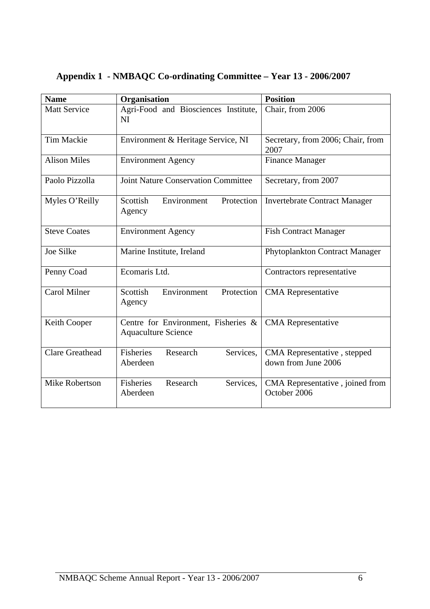| <b>Name</b>            | Organisation                                                      | <b>Position</b>                                    |
|------------------------|-------------------------------------------------------------------|----------------------------------------------------|
| <b>Matt Service</b>    | Agri-Food and Biosciences Institute,<br>NI                        | Chair, from 2006                                   |
| <b>Tim Mackie</b>      | Environment & Heritage Service, NI                                | Secretary, from 2006; Chair, from<br>2007          |
| <b>Alison Miles</b>    | <b>Environment Agency</b>                                         | <b>Finance Manager</b>                             |
| Paolo Pizzolla         | <b>Joint Nature Conservation Committee</b>                        | Secretary, from 2007                               |
| Myles O'Reilly         | Scottish<br>Protection<br>Environment<br>Agency                   | <b>Invertebrate Contract Manager</b>               |
| <b>Steve Coates</b>    | <b>Environment Agency</b>                                         | <b>Fish Contract Manager</b>                       |
| <b>Joe Silke</b>       | Marine Institute, Ireland                                         | Phytoplankton Contract Manager                     |
| Penny Coad             | Ecomaris Ltd.                                                     | Contractors representative                         |
| Carol Milner           | Scottish<br>Environment<br>Protection<br>Agency                   | <b>CMA</b> Representative                          |
| Keith Cooper           | Centre for Environment, Fisheries &<br><b>Aquaculture Science</b> | <b>CMA</b> Representative                          |
| <b>Clare Greathead</b> | Fisheries<br>Research<br>Services,<br>Aberdeen                    | CMA Representative, stepped<br>down from June 2006 |
| <b>Mike Robertson</b>  | Services.<br>Fisheries<br>Research<br>Aberdeen                    | CMA Representative, joined from<br>October 2006    |

# <span id="page-7-0"></span>**Appendix 1 - NMBAQC Co-ordinating Committee – Year 13 - 2006/2007**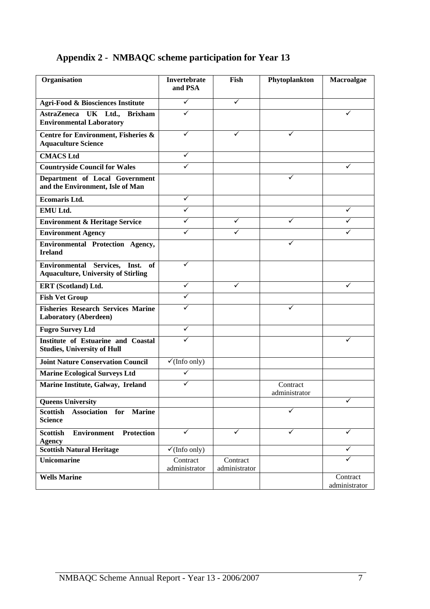# <span id="page-8-0"></span>**Appendix 2 - NMBAQC scheme participation for Year 13**

| Organisation                                                                         | <b>Invertebrate</b><br>and PSA | Fish                      | Phytoplankton             | Macroalgae                |
|--------------------------------------------------------------------------------------|--------------------------------|---------------------------|---------------------------|---------------------------|
| <b>Agri-Food &amp; Biosciences Institute</b>                                         | $\checkmark$                   | $\checkmark$              |                           |                           |
| AstraZeneca UK Ltd., Brixham<br><b>Environmental Laboratory</b>                      | ✓                              |                           |                           |                           |
| Centre for Environment, Fisheries &<br><b>Aquaculture Science</b>                    | ✓                              | ✓                         | ✓                         |                           |
| <b>CMACS Ltd</b>                                                                     | ✓                              |                           |                           |                           |
| <b>Countryside Council for Wales</b>                                                 |                                |                           |                           |                           |
| Department of Local Government<br>and the Environment, Isle of Man                   |                                |                           |                           |                           |
| <b>Ecomaris Ltd.</b>                                                                 | ✓                              |                           |                           |                           |
| EMU Ltd.                                                                             | ✓                              |                           |                           | ✓                         |
| <b>Environment &amp; Heritage Service</b>                                            | ✓                              | ✓                         | ✓                         |                           |
| <b>Environment Agency</b>                                                            | ✓                              | ✓                         |                           |                           |
| Environmental Protection Agency,<br><b>Ireland</b>                                   |                                |                           |                           |                           |
| Environmental Services,<br>Inst.<br>of<br><b>Aquaculture, University of Stirling</b> | ✓                              |                           |                           |                           |
| ERT (Scotland) Ltd.                                                                  | ✓                              | ✓                         |                           | ✓                         |
| <b>Fish Vet Group</b>                                                                | ✓                              |                           |                           |                           |
| <b>Fisheries Research Services Marine</b><br><b>Laboratory (Aberdeen)</b>            |                                |                           |                           |                           |
| <b>Fugro Survey Ltd</b>                                                              | ✓                              |                           |                           |                           |
| <b>Institute of Estuarine and Coastal</b><br><b>Studies, University of Hull</b>      |                                |                           |                           |                           |
| <b>Joint Nature Conservation Council</b>                                             | $\checkmark$ (Info only)       |                           |                           |                           |
| <b>Marine Ecological Surveys Ltd</b>                                                 | ✓                              |                           |                           |                           |
| Marine Institute, Galway, Ireland                                                    | ✓                              |                           | Contract<br>administrator |                           |
| <b>Queens University</b>                                                             |                                |                           |                           | ✓                         |
| Association for<br><b>Scottish</b><br><b>Marine</b><br><b>Science</b>                |                                |                           | ✓                         |                           |
| <b>Scottish</b><br><b>Environment</b><br><b>Protection</b><br><b>Agency</b>          | $\checkmark$                   | $\checkmark$              | ✓                         | ✓                         |
| <b>Scottish Natural Heritage</b>                                                     | $\checkmark$ (Info only)       |                           |                           | ✓                         |
| <b>Unicomarine</b>                                                                   | Contract<br>administrator      | Contract<br>administrator |                           | ✓                         |
| <b>Wells Marine</b>                                                                  |                                |                           |                           | Contract<br>administrator |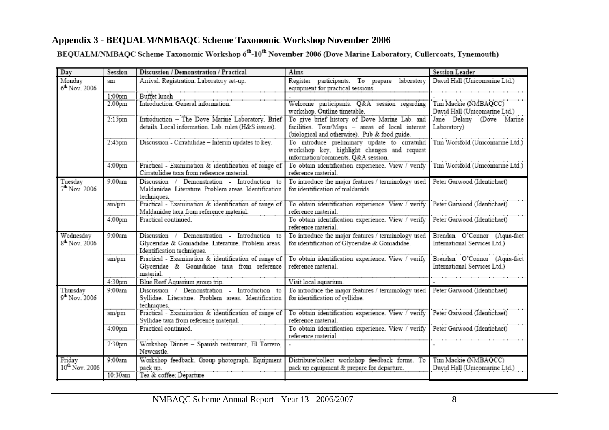# **Appendix 3 - BEQUALM/NMBAQC Scheme Taxonomic Workshop November 2006**

BEQUALM/NMBAQC Scheme Taxonomic Workshop 6<sup>th</sup>-10<sup>th</sup> November 2006 (Dove Marine Laboratory, Cullercoats, Tynemouth)

<span id="page-9-0"></span>

| Day                                    | Session            | Discussion / Demonstration / Practical                                                             | Aims                                                                                                 | <b>Session Leader</b>                                       |
|----------------------------------------|--------------------|----------------------------------------------------------------------------------------------------|------------------------------------------------------------------------------------------------------|-------------------------------------------------------------|
| Monday                                 | am                 | Arrival. Registration. Laboratory set-up.                                                          | Register participants. To prepare laboratory                                                         | David Hall (Unicomarine Ltd.)                               |
| 6 <sup>th</sup> Nov. 2006              |                    |                                                                                                    | equipment for practical sessions.                                                                    |                                                             |
|                                        | 1:00 <sub>pm</sub> | Buffet lunch<br>Introduction. General information.                                                 |                                                                                                      |                                                             |
|                                        | 2:00 <sub>pm</sub> |                                                                                                    | Welcome participants. Q&A session regarding<br>workshop. Outline timetable.                          | Tim Mackie (NMBAQCC)<br>David Hall (Unicomarine Ltd.)       |
|                                        | 2:15 <sub>pm</sub> | Introduction - The Dove Marine Laboratory. Brief                                                   | To give brief history of Dove Marine Lab. and                                                        | Jane Delany (Dove Marine                                    |
|                                        |                    | details. Local information. Lab. rules (H&S issues).                                               | facilities. Tour/Maps - areas of local interest                                                      | Laboratory)                                                 |
|                                        |                    |                                                                                                    | (biological and otherwise). Pub & food guide.                                                        |                                                             |
|                                        | 2:45pm             | Discussion - Cirratulidae - Interim updates to key.                                                | To introduce preliminary update to cirratulid                                                        | Tim Worsfold (Unicomarine Ltd.)                             |
|                                        |                    |                                                                                                    | workshop key, highlight changes and request                                                          |                                                             |
|                                        |                    |                                                                                                    | information/comments. Q&A session.                                                                   |                                                             |
|                                        | 4:00 <sub>pm</sub> | Practical - Examination & identification of range of<br>Cirratulidae taxa from reference material. | To obtain identification experience. View / verify<br>reference material.                            | Tim Worsfold (Unicomarine Ltd.)                             |
| Tuesday                                | 9:00am             | Discussion /<br>Demonstration - Introduction to                                                    | To introduce the major features / terminology used                                                   | Peter Garwood (Identichaet)                                 |
| $7^{th}$ Nov. 2006                     |                    | Maldanidae. Literature. Problem areas. Identification                                              | for identification of maldanids.                                                                     |                                                             |
|                                        |                    | techniques.                                                                                        |                                                                                                      |                                                             |
|                                        | am/pm              | Practical - Examination & identification of range of                                               | To obtain identification experience. View / verify                                                   | Peter Garwood (Identichaet)                                 |
|                                        |                    | Maldanidae taxa from reference material.                                                           | reference material.                                                                                  |                                                             |
|                                        | 4:00pm             | Practical continued.                                                                               | To obtain identification experience. View / verify                                                   | Peter Garwood (Identichaet)                                 |
|                                        | 9:00am             | Discussion /<br>Demonstration - Introduction to                                                    | reference material.                                                                                  |                                                             |
| Wednesday<br>8 <sup>th</sup> Nov. 2006 |                    | Glyceridae & Goniadidae. Literature. Problem areas.                                                | To introduce the major features / terminology used<br>for identification of Glyceridae & Goniadidae. | Brendan O'Connor (Aqua-fact<br>International Services Ltd.) |
|                                        |                    | Identification techniques.                                                                         |                                                                                                      |                                                             |
|                                        | am/pm              | Practical - Examination & identification of range of                                               | To obtain identification experience. View / verify                                                   | Brendan O'Connor (Aqua-fact                                 |
|                                        |                    | Glyceridae & Goniadidae taxa from reference                                                        | reference material.                                                                                  | International Services Ltd.)                                |
|                                        |                    | material.                                                                                          |                                                                                                      |                                                             |
|                                        | 4:30pm             | Blue Reef Aquarium group trip.                                                                     | Visit local aquarium.                                                                                |                                                             |
| Thursday<br>$9^{th}$ Nov. 2006         | 9:00am             | Discussion / Demonstration - Introduction to                                                       | To introduce the major features / terminology used                                                   | Peter Garwood (Identichaet)                                 |
|                                        |                    | Syllidae. Literature. Problem areas. Identification<br>techniques.                                 | for identification of syllidae.                                                                      |                                                             |
|                                        | am/pm              | Practical - Examination & identification of range of                                               | To obtain identification experience. View / verify                                                   | Peter Garwood (Identichaet)                                 |
|                                        |                    | Syllidae taxa from reference material.                                                             | reference material.                                                                                  |                                                             |
|                                        | 4:00 <sub>pm</sub> | Practical continued.                                                                               | To obtain identification experience. View / verify                                                   | Peter Garwood (Identichaet)                                 |
|                                        |                    |                                                                                                    | reference material.                                                                                  |                                                             |
|                                        | 7:30pm             | Workshop Dinner - Spanish restaurant, El Torrero,                                                  |                                                                                                      |                                                             |
|                                        |                    | Newcastle.                                                                                         |                                                                                                      |                                                             |
| Fridav<br>10 <sup>th</sup> Nov. 2006   | 9:00am             | Workshop feedback. Group photograph. Equipment<br>pack up.                                         | Distribute/collect workshop feedback forms. To<br>pack up equipment & prepare for departure.         | Tim Mackie (NMBAQCC)<br>David Hall (Unicomarine Ltd.)       |
|                                        | 10:30am            | Tea & coffee; Departure                                                                            |                                                                                                      |                                                             |
|                                        |                    |                                                                                                    |                                                                                                      |                                                             |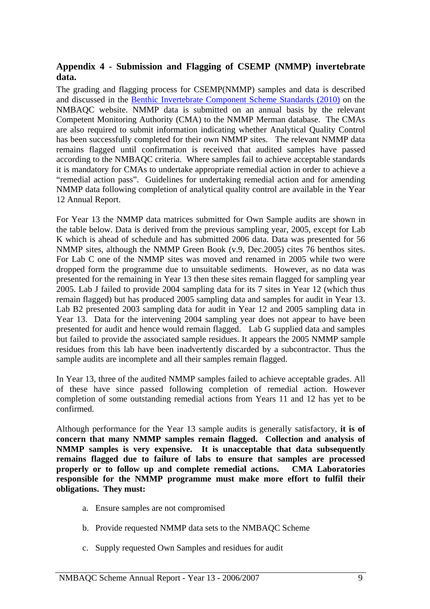## <span id="page-10-0"></span>**Appendix 4 - Submission and Flagging of CSEMP (NMMP) invertebrate data.**

The grading and flagging process for CSEMP(NMMP) samples and data is described and discussed in the [Benthic Invertebrate Component Scheme Standards \(2010\)](http://www.nmbaqcs.org/scheme-components/invertebrates/reports/benthic-invertebrate-component-scheme-standards.aspx) on the NMBAQC website. NMMP data is submitted on an annual basis by the relevant Competent Monitoring Authority (CMA) to the NMMP Merman database. The CMAs are also required to submit information indicating whether Analytical Quality Control has been successfully completed for their own NMMP sites. The relevant NMMP data remains flagged until confirmation is received that audited samples have passed according to the NMBAQC criteria. Where samples fail to achieve acceptable standards it is mandatory for CMAs to undertake appropriate remedial action in order to achieve a "remedial action pass". Guidelines for undertaking remedial action and for amending NMMP data following completion of analytical quality control are available in the Year 12 Annual Report.

For Year 13 the NMMP data matrices submitted for Own Sample audits are shown in the table below. Data is derived from the previous sampling year, 2005, except for Lab K which is ahead of schedule and has submitted 2006 data. Data was presented for 56 NMMP sites, although the NMMP Green Book (v.9, Dec.2005) cites 76 benthos sites. For Lab C one of the NMMP sites was moved and renamed in 2005 while two were dropped form the programme due to unsuitable sediments. However, as no data was presented for the remaining in Year 13 then these sites remain flagged for sampling year 2005. Lab J failed to provide 2004 sampling data for its 7 sites in Year 12 (which thus remain flagged) but has produced 2005 sampling data and samples for audit in Year 13. Lab B2 presented 2003 sampling data for audit in Year 12 and 2005 sampling data in Year 13. Data for the intervening 2004 sampling year does not appear to have been presented for audit and hence would remain flagged. Lab G supplied data and samples but failed to provide the associated sample residues. It appears the 2005 NMMP sample residues from this lab have been inadvertently discarded by a subcontractor. Thus the sample audits are incomplete and all their samples remain flagged.

In Year 13, three of the audited NMMP samples failed to achieve acceptable grades. All of these have since passed following completion of remedial action. However completion of some outstanding remedial actions from Years 11 and 12 has yet to be confirmed.

Although performance for the Year 13 sample audits is generally satisfactory, **it is of concern that many NMMP samples remain flagged. Collection and analysis of NMMP samples is very expensive. It is unacceptable that data subsequently remains flagged due to failure of labs to ensure that samples are processed properly or to follow up and complete remedial actions. CMA Laboratories responsible for the NMMP programme must make more effort to fulfil their obligations. They must:** 

- a. Ensure samples are not compromised
- b. Provide requested NMMP data sets to the NMBAQC Scheme
- c. Supply requested Own Samples and residues for audit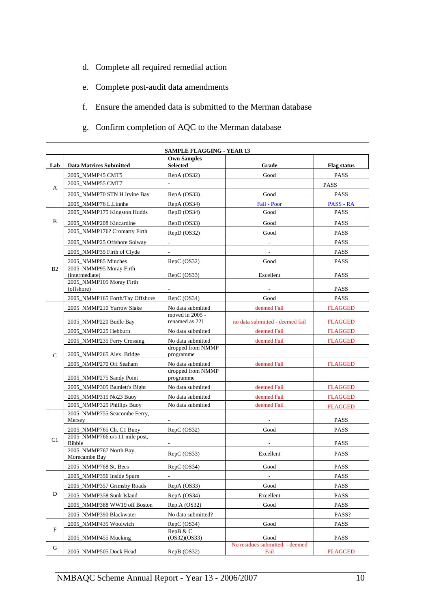- d. Complete all required remedial action
- e. Complete post-audit data amendments
- f. Ensure the amended data is submitted to the Merman database
- g. Confirm completion of AQC to the Merman database

|                | <b>SAMPLE FLAGGING - YEAR 13</b>          |                                       |                                        |                    |  |
|----------------|-------------------------------------------|---------------------------------------|----------------------------------------|--------------------|--|
| Lab            | <b>Data Matrices Submitted</b>            | <b>Own Samples</b><br><b>Selected</b> | Grade                                  | <b>Flag status</b> |  |
| А              | 2005_NMMP45 CMT5                          | RepA (OS32)                           | Good                                   | PASS               |  |
|                | 2005_NMMP55 CMT7                          |                                       |                                        | <b>PASS</b>        |  |
|                | 2005 NMMP70 STN H Irvine Bay              | RepA (OS33)                           | Good                                   | PASS               |  |
|                | 2005_NMMP76 L.Linnhe                      | RepA (OS34)                           | Fail - Poor                            | <b>PASS - RA</b>   |  |
| B              | 2005_NMMP175 Kingston Hudds               | RepD (OS34)                           | Good                                   | <b>PASS</b>        |  |
|                | 2005 NMMP208 Kincardine                   | RepD (OS33)                           | Good                                   | <b>PASS</b>        |  |
|                | 2005_NMMP176? Cromarty Firth              | RepD (OS32)                           | Good                                   | <b>PASS</b>        |  |
|                | 2005 NMMP25 Offshore Solway               | $\blacksquare$                        | $\blacksquare$                         | <b>PASS</b>        |  |
|                | 2005_NMMP35 Firth of Clyde                | $\blacksquare$                        | $\blacksquare$                         | <b>PASS</b>        |  |
|                | 2005_NMMP85 Minches                       | RepC (OS32)                           | Good                                   | PASS               |  |
| B <sub>2</sub> | 2005_NMMP95 Moray Firth<br>(intermediate) | RepC (OS33)                           | Excellent                              | <b>PASS</b>        |  |
|                | 2005_NMMP105 Moray Firth<br>(offshore)    |                                       |                                        | <b>PASS</b>        |  |
|                | 2005_NMMP165 Forth/Tay Offshore           | RepC (OS34)                           | Good                                   | PASS               |  |
|                | 2005 NMMP210 Yarrow Slake                 | No data submitted                     | deemed Fail                            | <b>FLAGGED</b>     |  |
|                | 2005_NMMP220 Budle Bay                    | moved in 2005 -<br>renamed as 221     | no data submitted - deemed fail        | <b>FLAGGED</b>     |  |
|                | 2005_NMMP225 Hebburn                      | No data submitted                     | deemed Fail                            | <b>FLAGGED</b>     |  |
|                | 2005_NMMP235 Ferry Crossing               | No data submitted                     | deemed Fail                            | <b>FLAGGED</b>     |  |
| $\mathbf C$    | 2005_NMMP265 Alex. Bridge                 | dropped from NMMP<br>programme        |                                        |                    |  |
|                | 2005_NMMP270 Off Seaham                   | No data submitted                     | deemed Fail                            | <b>FLAGGED</b>     |  |
|                | 2005_NMMP275 Sandy Point                  | dropped from NMMP<br>programme        |                                        |                    |  |
|                | 2005_NMMP305 Bamlett's Bight              | No data submitted                     | deemed Fail                            | <b>FLAGGED</b>     |  |
|                | 2005_NMMP315 No23 Buoy                    | No data submitted                     | deemed Fail                            | <b>FLAGGED</b>     |  |
|                | 2005_NMMP325 Phillips Buoy                | No data submitted                     | deemed Fail                            | <b>FLAGGED</b>     |  |
|                | 2005_NMMP755 Seacombe Ferry,<br>Mersey    |                                       |                                        | <b>PASS</b>        |  |
|                | 2005_NMMP765 Ch. C1 Buoy                  | RepC (OS32)                           | Good                                   | <b>PASS</b>        |  |
| C1             | 2005_NMMP766 u/s 11 mile post,<br>Ribble  |                                       |                                        | <b>PASS</b>        |  |
|                | 2005_NMMP767 North Bay,<br>Morecambe Bay  | RepC (OS33)                           | Excellent                              | <b>PASS</b>        |  |
|                | 2005 NMMP768 St. Bees                     | RepC (OS34)                           | Good                                   | <b>PASS</b>        |  |
|                | 2005_NMMP356 Inside Spurn                 |                                       | $\overline{\phantom{a}}$               | <b>PASS</b>        |  |
|                | 2005_NMMP357 Grimsby Roads                | RepA (OS33)                           | Good                                   | PASS               |  |
| D              | 2005_NMMP358 Sunk Island                  | RepA (OS34)                           | Excellent                              | PASS               |  |
|                | 2005_NMMP388 WW19 off Boston              | Rep.A (OS32)                          | Good                                   | <b>PASS</b>        |  |
|                | 2005_NMMP390 Blackwater                   | No data submitted?                    |                                        | PASS?              |  |
|                | 2005_NMMP435 Woolwich                     | RepC (OS34)                           | Good                                   | PASS               |  |
| ${\bf F}$      | 2005_NMMP455 Mucking                      | RepB & C<br>(OS32)(OS33)              | Good                                   | PASS               |  |
| G              | 2005_NMMP505 Dock Head                    | RepB (OS32)                           | No residues submitted - deemed<br>Fail | <b>FLAGGED</b>     |  |
|                |                                           |                                       |                                        |                    |  |